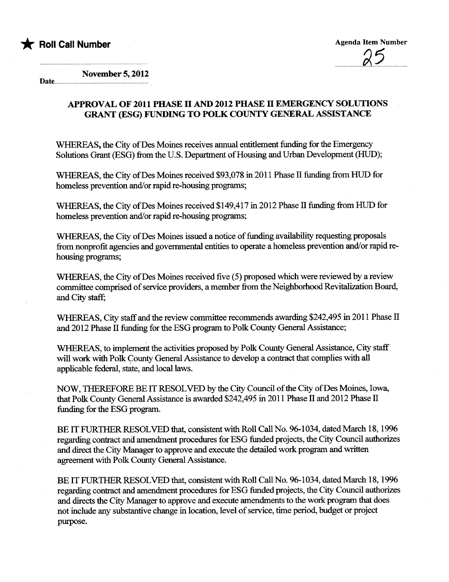

Date. November 5, 2012

## APPROVAL OF 2011 PHASE II AND 2012 PHASE II EMERGENCY SOLUTIONS GRANT (ESG) FUNDING TO POLK COUNTY GENERAL ASSISTANCE

WHEREAS, the City of Des Moines receives annual entitlement funding for the Emergency Solutions Grant (ESG) from the U.S. Department of Housing and Urban Development (HUD);

WHEREAS, the City of Des Moines received \$93,078 in 2011 Phase II funding from HUD for homeless prevention and/or rapid re-housing programs;

WHEREAS, the City of Des Moines received \$149,417 in 2012 Phase II funding from HUD for homeless prevention and/or rapid re-housing programs;

WHEREAS, the City of Des Moines issued a notice of funding availability requesting proposals from nonprofit agencies and governmental entities to operate a homeless prevention and/or rapid rehousing programs;

WHEREAS, the City of Des Moines received five (5) proposed which were reviewed by a review committee comprised of service providers, a member from the Neighborhood Revitalization Board, and City staff;

WHEREAS, City staff and the review committee recommends awarding \$242,495 in 2011 Phase II and 2012 Phase II funding for the ESG program to Polk County General Assistance;

WHEREAS, to implement the activities proposed by Polk County General Assistance, City staff will work with Polk County General Assistance to develop a contract that complies with all applicable federa, state, and local laws.

NOW, TIREFORE BE IT RESOLVED by the City Council of the City of Des Moines, Iowa, that Polk County General Assistance is awarded \$242,495 in 2011 Phase II and 2012 Phase II funding for the ESG program.

BE IT FURTHER RESOLVED that, consistent with Roll Call No. 96-1034, dated March 18, 1996 regarding contract and amendment procedures for ESG funded projects, the City Council authorizes and direct the City Manager to approve and execute the detailed work program and written agreement with Polk County General Assistance.

BE IT FURTHER RESOLVED that, consistent with Roll Call No. 96-1034, dated March 18, 1996 regarding contract and amendment procedures for ESG funded projects, the City Council authorizes and directs the City Manager to approve and execute amendments to the work program that does not include any substantive change in location, level of service, time period, budget or project purpose.